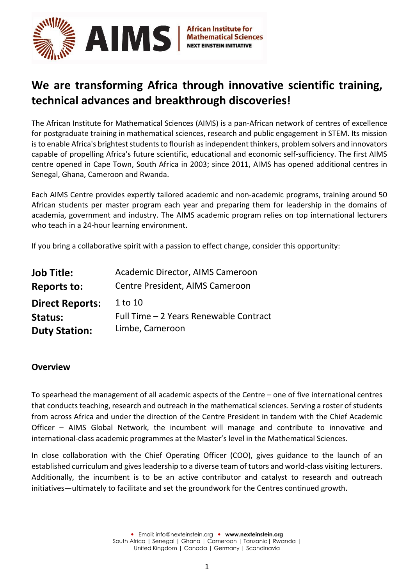

# **We are transforming Africa through innovative scientific training, technical advances and breakthrough discoveries!**

The African Institute for Mathematical Sciences (AIMS) is a pan-African network of centres of excellence for postgraduate training in mathematical sciences, research and public engagement in STEM. Its mission is to enable Africa's brightest students to flourish as independent thinkers, problem solvers and innovators capable of propelling Africa's future scientific, educational and economic self-sufficiency. The first AIMS centre opened in Cape Town, South Africa in 2003; since 2011, AIMS has opened additional centres in Senegal, Ghana, Cameroon and Rwanda.

Each AIMS Centre provides expertly tailored academic and non-academic programs, training around 50 African students per master program each year and preparing them for leadership in the domains of academia, government and industry. The AIMS academic program relies on top international lecturers who teach in a 24-hour learning environment.

If you bring a collaborative spirit with a passion to effect change, consider this opportunity:

| <b>Job Title:</b>      | Academic Director, AIMS Cameroon       |
|------------------------|----------------------------------------|
| <b>Reports to:</b>     | Centre President, AIMS Cameroon        |
| <b>Direct Reports:</b> | 1 to 10                                |
| Status:                | Full Time - 2 Years Renewable Contract |
| <b>Duty Station:</b>   | Limbe, Cameroon                        |

#### **Overview**

To spearhead the management of all academic aspects of the Centre – one of five international centres that conducts teaching, research and outreach in the mathematical sciences. Serving a roster of students from across Africa and under the direction of the Centre President in tandem with the Chief Academic Officer – AIMS Global Network, the incumbent will manage and contribute to innovative and international-class academic programmes at the Master's level in the Mathematical Sciences.

In close collaboration with the Chief Operating Officer (COO), gives guidance to the launch of an established curriculum and gives leadership to a diverse team of tutors and world-class visiting lecturers. Additionally, the incumbent is to be an active contributor and catalyst to research and outreach initiatives—ultimately to facilitate and set the groundwork for the Centres continued growth.

> Email[: info@nexteinstein.org](mailto:info@nexteinstein.org)  **[www.nexteinstein.org](http://www.nexteinstein.org/)** South Africa | Senegal | Ghana | Cameroon | Tanzania| Rwanda | United Kingdom | Canada | Germany | Scandinavia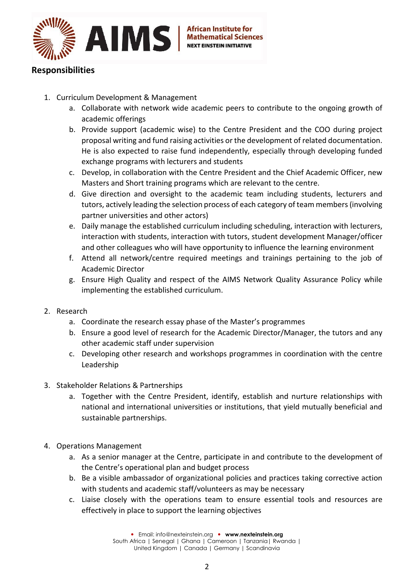

## **Responsibilities**

- 1. Curriculum Development & Management
	- a. Collaborate with network wide academic peers to contribute to the ongoing growth of academic offerings
	- b. Provide support (academic wise) to the Centre President and the COO during project proposal writing and fund raising activities or the development of related documentation. He is also expected to raise fund independently, especially through developing funded exchange programs with lecturers and students
	- c. Develop, in collaboration with the Centre President and the Chief Academic Officer, new Masters and Short training programs which are relevant to the centre.
	- d. Give direction and oversight to the academic team including students, lecturers and tutors, actively leading the selection process of each category of team members (involving partner universities and other actors)
	- e. Daily manage the established curriculum including scheduling, interaction with lecturers, interaction with students, interaction with tutors, student development Manager/officer and other colleagues who will have opportunity to influence the learning environment
	- f. Attend all network/centre required meetings and trainings pertaining to the job of Academic Director
	- g. Ensure High Quality and respect of the AIMS Network Quality Assurance Policy while implementing the established curriculum.
- 2. Research
	- a. Coordinate the research essay phase of the Master's programmes
	- b. Ensure a good level of research for the Academic Director/Manager, the tutors and any other academic staff under supervision
	- c. Developing other research and workshops programmes in coordination with the centre Leadership
- 3. Stakeholder Relations & Partnerships
	- a. Together with the Centre President, identify, establish and nurture relationships with national and international universities or institutions, that yield mutually beneficial and sustainable partnerships.
- 4. Operations Management
	- a. As a senior manager at the Centre, participate in and contribute to the development of the Centre's operational plan and budget process
	- b. Be a visible ambassador of organizational policies and practices taking corrective action with students and academic staff/volunteers as may be necessary
	- c. Liaise closely with the operations team to ensure essential tools and resources are effectively in place to support the learning objectives

 Email[: info@nexteinstein.org](mailto:info@nexteinstein.org)  **[www.nexteinstein.org](http://www.nexteinstein.org/)** South Africa | Senegal | Ghana | Cameroon | Tanzania| Rwanda | United Kingdom | Canada | Germany | Scandinavia